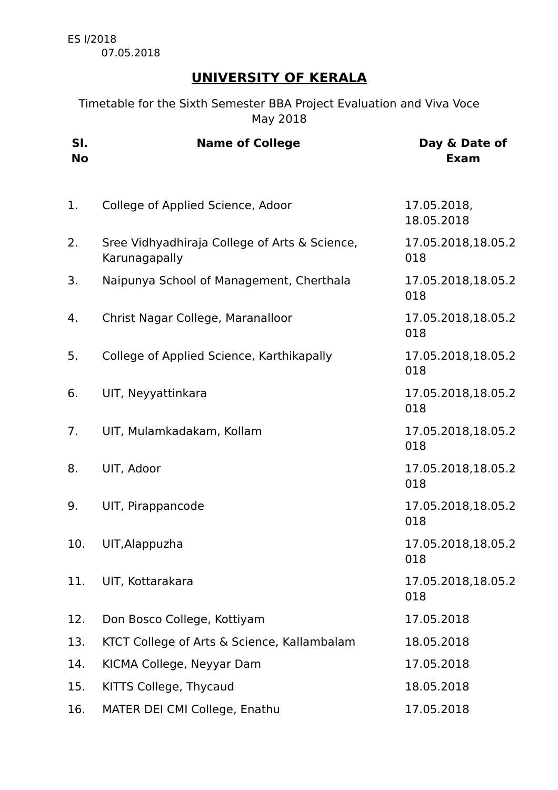ES I/2018 07.05.2018

## **UNIVERSITY OF KERALA**

Timetable for the Sixth Semester BBA Project Evaluation and Viva Voce May 2018

| SI.<br><b>No</b> | <b>Name of College</b>                                         | Day & Date of<br><b>Exam</b> |
|------------------|----------------------------------------------------------------|------------------------------|
| 1.               | College of Applied Science, Adoor                              | 17.05.2018,<br>18.05.2018    |
| 2.               | Sree Vidhyadhiraja College of Arts & Science,<br>Karunagapally | 17.05.2018,18.05.2<br>018    |
| 3.               | Naipunya School of Management, Cherthala                       | 17.05.2018,18.05.2<br>018    |
| 4.               | Christ Nagar College, Maranalloor                              | 17.05.2018,18.05.2<br>018    |
| 5.               | College of Applied Science, Karthikapally                      | 17.05.2018,18.05.2<br>018    |
| 6.               | UIT, Neyyattinkara                                             | 17.05.2018,18.05.2<br>018    |
| 7.               | UIT, Mulamkadakam, Kollam                                      | 17.05.2018,18.05.2<br>018    |
| 8.               | UIT, Adoor                                                     | 17.05.2018,18.05.2<br>018    |
| 9.               | UIT, Pirappancode                                              | 17.05.2018,18.05.2<br>018    |
| 10.              | UIT, Alappuzha                                                 | 17.05.2018,18.05.2<br>018    |
| 11.              | UIT, Kottarakara                                               | 17.05.2018,18.05.2<br>018    |
| 12.              | Don Bosco College, Kottiyam                                    | 17.05.2018                   |
| 13.              | KTCT College of Arts & Science, Kallambalam                    | 18.05.2018                   |
| 14.              | KICMA College, Neyyar Dam                                      | 17.05.2018                   |
| 15.              | KITTS College, Thycaud                                         | 18.05.2018                   |
| 16.              | MATER DEI CMI College, Enathu                                  | 17.05.2018                   |